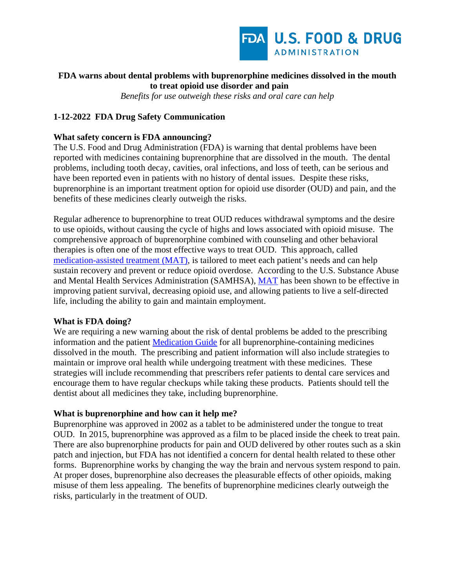

# **FDA warns about dental problems with buprenorphine medicines dissolved in the mouth to treat opioid use disorder and pain**

*Benefits for use outweigh these risks and oral care can help* 

# **1-12-2022 FDA Drug Safety Communication**

#### **What safety concern is FDA announcing?**

The U.S. Food and Drug Administration (FDA) is warning that dental problems have been reported with medicines containing buprenorphine that are dissolved in the mouth. The dental problems, including tooth decay, cavities, oral infections, and loss of teeth, can be serious and have been reported even in patients with no history of dental issues. Despite these risks, buprenorphine is an important treatment option for opioid use disorder (OUD) and pain, and the benefits of these medicines clearly outweigh the risks.

Regular adherence to buprenorphine to treat OUD reduces withdrawal symptoms and the desire to use opioids, without causing the cycle of highs and lows associated with opioid misuse. The comprehensive approach of buprenorphine combined with counseling and other behavioral therapies is often one of the most effective ways to treat OUD. This approach, called [medication-assisted treatment \(MAT\),](https://www.samhsa.gov/medication-assisted-treatment) is tailored to meet each patient's needs and can help sustain recovery and prevent or reduce opioid overdose. According to the U.S. Substance Abuse and Mental Health Services Administration (SAMHSA), [MAT](https://www.samhsa.gov/medication-assisted-treatment) has been shown to be effective in improving patient survival, decreasing opioid use, and allowing patients to live a self-directed life, including the ability to gain and maintain employment.

#### **What is FDA doing?**

We are requiring a new warning about the risk of dental problems be added to the prescribing information and the patient [Medication Guide](https://www.accessdata.fda.gov/scripts/cder/daf/index.cfm?event=medguide.page) for all buprenorphine-containing medicines dissolved in the mouth. The prescribing and patient information will also include strategies to maintain or improve oral health while undergoing treatment with these medicines. These strategies will include recommending that prescribers refer patients to dental care services and encourage them to have regular checkups while taking these products. Patients should tell the dentist about all medicines they take, including buprenorphine.

#### **What is buprenorphine and how can it help me?**

Buprenorphine was approved in 2002 as a tablet to be administered under the tongue to treat OUD. In 2015, buprenorphine was approved as a film to be placed inside the cheek to treat pain. There are also buprenorphine products for pain and OUD delivered by other routes such as a skin patch and injection, but FDA has not identified a concern for dental health related to these other forms. Buprenorphine works by changing the way the brain and nervous system respond to pain. At proper doses, buprenorphine also decreases the pleasurable effects of other opioids, making misuse of them less appealing. The benefits of buprenorphine medicines clearly outweigh the risks, particularly in the treatment of OUD.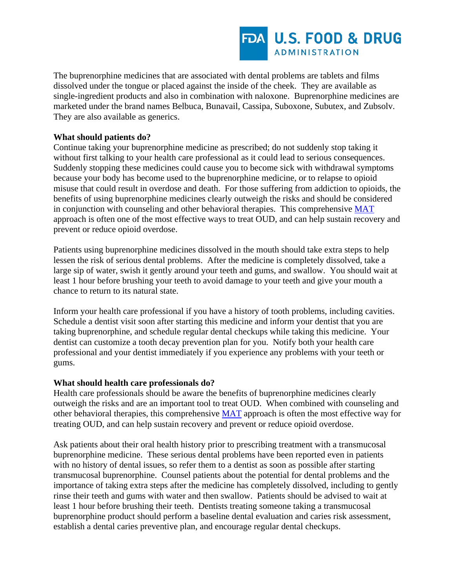

The buprenorphine medicines that are associated with dental problems are tablets and films dissolved under the tongue or placed against the inside of the cheek. They are available as single-ingredient products and also in combination with naloxone. Buprenorphine medicines are marketed under the brand names Belbuca, Bunavail, Cassipa, Suboxone, Subutex, and Zubsolv. They are also available as generics.

# **What should patients do?**

Continue taking your buprenorphine medicine as prescribed; do not suddenly stop taking it without first talking to your health care professional as it could lead to serious consequences. Suddenly stopping these medicines could cause you to become sick with withdrawal symptoms because your body has become used to the buprenorphine medicine, or to relapse to opioid misuse that could result in overdose and death. For those suffering from addiction to opioids, the benefits of using buprenorphine medicines clearly outweigh the risks and should be considered in conjunction with counseling and other behavioral therapies. This comprehensive [MAT](https://www.samhsa.gov/medication-assisted-treatment) approach is often one of the most effective ways to treat OUD, and can help sustain recovery and prevent or reduce opioid overdose.

Patients using buprenorphine medicines dissolved in the mouth should take extra steps to help lessen the risk of serious dental problems. After the medicine is completely dissolved, take a large sip of water, swish it gently around your teeth and gums, and swallow. You should wait at least 1 hour before brushing your teeth to avoid damage to your teeth and give your mouth a chance to return to its natural state.

Inform your health care professional if you have a history of tooth problems, including cavities. Schedule a dentist visit soon after starting this medicine and inform your dentist that you are taking buprenorphine, and schedule regular dental checkups while taking this medicine. Your dentist can customize a tooth decay prevention plan for you. Notify both your health care professional and your dentist immediately if you experience any problems with your teeth or gums.

#### **What should health care professionals do?**

Health care professionals should be aware the benefits of buprenorphine medicines clearly outweigh the risks and are an important tool to treat OUD. When combined with counseling and other behavioral therapies, this comprehensive [MAT](https://www.samhsa.gov/medication-assisted-treatment) approach is often the most effective way for treating OUD, and can help sustain recovery and prevent or reduce opioid overdose.

Ask patients about their oral health history prior to prescribing treatment with a transmucosal buprenorphine medicine. These serious dental problems have been reported even in patients with no history of dental issues, so refer them to a dentist as soon as possible after starting transmucosal buprenorphine. Counsel patients about the potential for dental problems and the importance of taking extra steps after the medicine has completely dissolved, including to gently rinse their teeth and gums with water and then swallow. Patients should be advised to wait at least 1 hour before brushing their teeth. Dentists treating someone taking a transmucosal buprenorphine product should perform a baseline dental evaluation and caries risk assessment, establish a dental caries preventive plan, and encourage regular dental checkups.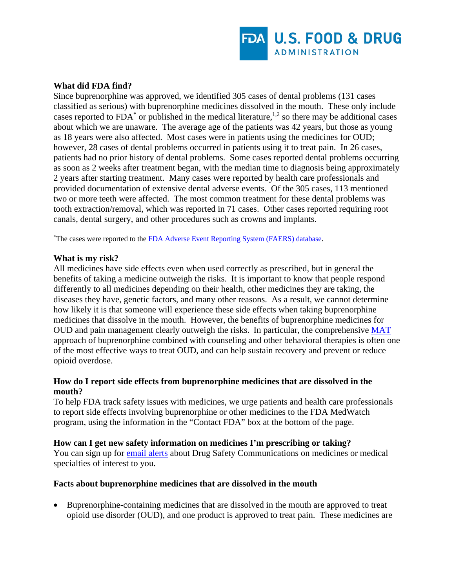

### **What did FDA find?**

Since buprenorphine was approved, we identified 305 cases of dental problems (131 cases classified as serious) with buprenorphine medicines dissolved in the mouth. These only include cases reported to  $FDA^*$  or published in the medical literature,<sup>1,2</sup> so there may be additional cases about which we are unaware. The average age of the patients was 42 years, but those as young as 18 years were also affected. Most cases were in patients using the medicines for OUD; however, 28 cases of dental problems occurred in patients using it to treat pain. In 26 cases, patients had no prior history of dental problems. Some cases reported dental problems occurring as soon as 2 weeks after treatment began, with the median time to diagnosis being approximately 2 years after starting treatment. Many cases were reported by health care professionals and provided documentation of extensive dental adverse events. Of the 305 cases, 113 mentioned two or more teeth were affected. The most common treatment for these dental problems was tooth extraction/removal, which was reported in 71 cases. Other cases reported requiring root canals, dental surgery, and other procedures such as crowns and implants.

<sup>\*</sup>The cases were reported to the **FDA Adverse Event Reporting System (FAERS)** database.

#### **What is my risk?**

All medicines have side effects even when used correctly as prescribed, but in general the benefits of taking a medicine outweigh the risks. It is important to know that people respond differently to all medicines depending on their health, other medicines they are taking, the diseases they have, genetic factors, and many other reasons. As a result, we cannot determine how likely it is that someone will experience these side effects when taking buprenorphine medicines that dissolve in the mouth. However, the benefits of buprenorphine medicines for OUD and pain management clearly outweigh the risks. In particular, the comprehensive [MAT](https://www.samhsa.gov/medication-assisted-treatment) approach of buprenorphine combined with counseling and other behavioral therapies is often one of the most effective ways to treat OUD, and can help sustain recovery and prevent or reduce opioid overdose.

# **How do I report side effects from buprenorphine medicines that are dissolved in the mouth?**

To help FDA track safety issues with medicines, we urge patients and health care professionals to report side effects involving buprenorphine or other medicines to the FDA MedWatch program, using the information in the "Contact FDA" box at the bottom of the page.

#### **How can I get new safety information on medicines I'm prescribing or taking?**

You can sign up for [email alerts](https://public.govdelivery.com/accounts/USFDA/subscriber/new) about Drug Safety Communications on medicines or medical specialties of interest to you.

# **Facts about buprenorphine medicines that are dissolved in the mouth**

• Buprenorphine-containing medicines that are dissolved in the mouth are approved to treat opioid use disorder (OUD), and one product is approved to treat pain. These medicines are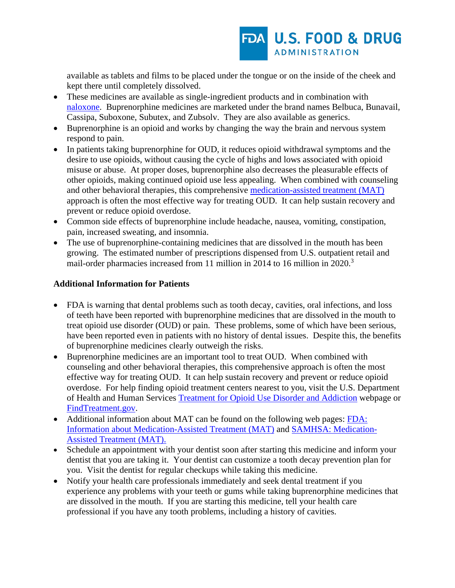

available as tablets and films to be placed under the tongue or on the inside of the cheek and kept there until completely dissolved.

- These medicines are available as single-ingredient products and in combination with [naloxone.](https://www.fda.gov/drugs/postmarket-drug-safety-information-patients-and-providers/information-about-naloxone) Buprenorphine medicines are marketed under the brand names Belbuca, Bunavail, Cassipa, Suboxone, Subutex, and Zubsolv. They are also available as generics.
- Buprenorphine is an opioid and works by changing the way the brain and nervous system respond to pain.
- In patients taking buprenorphine for OUD, it reduces opioid withdrawal symptoms and the desire to use opioids, without causing the cycle of highs and lows associated with opioid misuse or abuse. At proper doses, buprenorphine also decreases the pleasurable effects of other opioids, making continued opioid use less appealing. When combined with counseling and other behavioral therapies, this comprehensive [medication-assisted treatment \(MAT\)](https://www.samhsa.gov/medication-assisted-treatment) approach is often the most effective way for treating OUD. It can help sustain recovery and prevent or reduce opioid overdose.
- Common side effects of buprenorphine include headache, nausea, vomiting, constipation, pain, increased sweating, and insomnia.
- The use of buprenorphine-containing medicines that are dissolved in the mouth has been growing. The estimated number of prescriptions dispensed from U.S. outpatient retail and mail-order pharmacies increased from 11 million in 2014 to 16 million in 2020.<sup>3</sup>

# **Additional Information for Patients**

- FDA is warning that dental problems such as tooth decay, cavities, oral infections, and loss of teeth have been reported with buprenorphine medicines that are dissolved in the mouth to treat opioid use disorder (OUD) or pain. These problems, some of which have been serious, have been reported even in patients with no history of dental issues. Despite this, the benefits of buprenorphine medicines clearly outweigh the risks.
- Buprenorphine medicines are an important tool to treat OUD. When combined with counseling and other behavioral therapies, this comprehensive approach is often the most effective way for treating OUD. It can help sustain recovery and prevent or reduce opioid overdose. For help finding opioid treatment centers nearest to you, visit the U.S. Department of Health and Human Services [Treatment for Opioid Use Disorder and Addiction](https://www.hhs.gov/opioids/treatment/index.html) webpage or [FindTreatment.gov.](https://findtreatment.gov/)
- Additional information about MAT can be found on the following web pages: FDA: [Information about Medication-Assisted Treatment \(MAT\)](https://www.fda.gov/drugs/information-drug-class/information-about-medication-assisted-treatment-mat) and [SAMHSA: Medication-](https://www.samhsa.gov/medication-assisted-treatment)[Assisted Treatment \(MAT\).](https://www.samhsa.gov/medication-assisted-treatment)
- Schedule an appointment with your dentist soon after starting this medicine and inform your dentist that you are taking it. Your dentist can customize a tooth decay prevention plan for you. Visit the dentist for regular checkups while taking this medicine.
- Notify your health care professionals immediately and seek dental treatment if you experience any problems with your teeth or gums while taking buprenorphine medicines that are dissolved in the mouth. If you are starting this medicine, tell your health care professional if you have any tooth problems, including a history of cavities.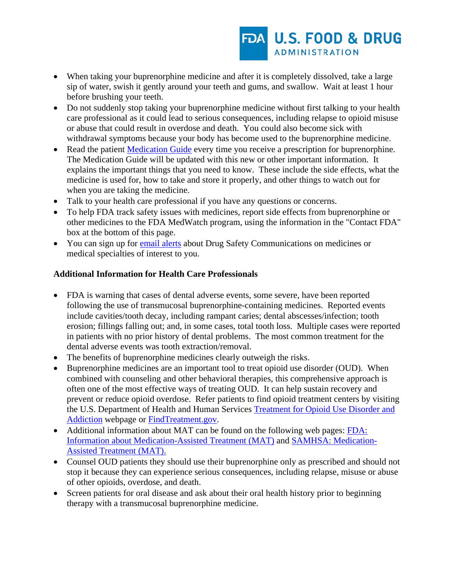- When taking your buprenorphine medicine and after it is completely dissolved, take a large sip of water, swish it gently around your teeth and gums, and swallow. Wait at least 1 hour before brushing your teeth.
- Do not suddenly stop taking your buprenorphine medicine without first talking to your health care professional as it could lead to serious consequences, including relapse to opioid misuse or abuse that could result in overdose and death. You could also become sick with withdrawal symptoms because your body has become used to the buprenorphine medicine.
- Read the patient [Medication Guide](https://www.accessdata.fda.gov/scripts/cder/daf/index.cfm?event=medguide.page) every time you receive a prescription for buprenorphine. The Medication Guide will be updated with this new or other important information. It explains the important things that you need to know. These include the side effects, what the medicine is used for, how to take and store it properly, and other things to watch out for when you are taking the medicine.
- Talk to your health care professional if you have any questions or concerns.
- To help FDA track safety issues with medicines, report side effects from buprenorphine or other medicines to the FDA MedWatch program, using the information in the "Contact FDA" box at the bottom of this page.
- You can sign up for [email alerts](https://public.govdelivery.com/accounts/USFDA/subscriber/new) about Drug Safety Communications on medicines or medical specialties of interest to you.

# **Additional Information for Health Care Professionals**

- FDA is warning that cases of dental adverse events, some severe, have been reported following the use of transmucosal buprenorphine-containing medicines. Reported events include cavities/tooth decay, including rampant caries; dental abscesses/infection; tooth erosion; fillings falling out; and, in some cases, total tooth loss. Multiple cases were reported in patients with no prior history of dental problems. The most common treatment for the dental adverse events was tooth extraction/removal.
- The benefits of buprenorphine medicines clearly outweigh the risks.
- Buprenorphine medicines are an important tool to treat opioid use disorder (OUD). When combined with counseling and other behavioral therapies, this comprehensive approach is often one of the most effective ways of treating OUD. It can help sustain recovery and prevent or reduce opioid overdose. Refer patients to find opioid treatment centers by visiting the U.S. Department of Health and Human Services [Treatment for Opioid Use Disorder and](https://www.hhs.gov/opioids/treatment/index.html)  [Addiction](https://www.hhs.gov/opioids/treatment/index.html) webpage or [FindTreatment.gov.](https://findtreatment.gov/)
- Additional information about MAT can be found on the following web pages: FDA: [Information about Medication-Assisted Treatment \(MAT\)](https://www.fda.gov/drugs/information-drug-class/information-about-medication-assisted-treatment-mat) and [SAMHSA: Medication-](https://www.samhsa.gov/medication-assisted-treatment)[Assisted Treatment \(MAT\).](https://www.samhsa.gov/medication-assisted-treatment)
- Counsel OUD patients they should use their buprenorphine only as prescribed and should not stop it because they can experience serious consequences, including relapse, misuse or abuse of other opioids, overdose, and death.
- Screen patients for oral disease and ask about their oral health history prior to beginning therapy with a transmucosal buprenorphine medicine.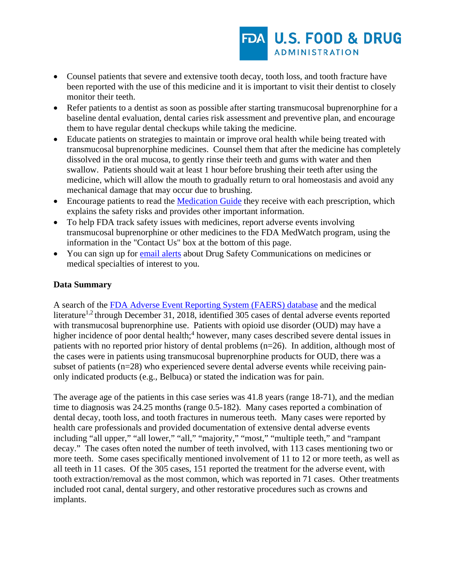

- Counsel patients that severe and extensive tooth decay, tooth loss, and tooth fracture have been reported with the use of this medicine and it is important to visit their dentist to closely monitor their teeth.
- Refer patients to a dentist as soon as possible after starting transmucosal buprenorphine for a baseline dental evaluation, dental caries risk assessment and preventive plan, and encourage them to have regular dental checkups while taking the medicine.
- Educate patients on strategies to maintain or improve oral health while being treated with transmucosal buprenorphine medicines. Counsel them that after the medicine has completely dissolved in the oral mucosa, to gently rinse their teeth and gums with water and then swallow. Patients should wait at least 1 hour before brushing their teeth after using the medicine, which will allow the mouth to gradually return to oral homeostasis and avoid any mechanical damage that may occur due to brushing.
- Encourage patients to read the [Medication Guide](https://www.accessdata.fda.gov/scripts/cder/daf/index.cfm?event=medguide.page) they receive with each prescription, which explains the safety risks and provides other important information.
- To help FDA track safety issues with medicines, report adverse events involving transmucosal buprenorphine or other medicines to the FDA MedWatch program, using the information in the "Contact Us" box at the bottom of this page.
- You can sign up for [email alerts](https://public.govdelivery.com/accounts/USFDA/subscriber/new) about Drug Safety Communications on medicines or medical specialties of interest to you.

# **Data Summary**

A search of the [FDA Adverse Event Reporting System \(FAERS\) database](https://www.fda.gov/drugs/drug-approvals-and-databases/fda-adverse-event-reporting-system-faers) and the medical literature<sup>1,2</sup> through December 31, 2018, identified 305 cases of dental adverse events reported with transmucosal buprenorphine use. Patients with opioid use disorder (OUD) may have a higher incidence of poor dental health;<sup>4</sup> however, many cases described severe dental issues in patients with no reported prior history of dental problems (n=26). In addition, although most of the cases were in patients using transmucosal buprenorphine products for OUD, there was a subset of patients (n=28) who experienced severe dental adverse events while receiving painonly indicated products (e.g., Belbuca) or stated the indication was for pain.

The average age of the patients in this case series was 41.8 years (range 18-71), and the median time to diagnosis was 24.25 months (range 0.5-182). Many cases reported a combination of dental decay, tooth loss, and tooth fractures in numerous teeth. Many cases were reported by health care professionals and provided documentation of extensive dental adverse events including "all upper," "all lower," "all," "majority," "most," "multiple teeth," and "rampant decay." The cases often noted the number of teeth involved, with 113 cases mentioning two or more teeth. Some cases specifically mentioned involvement of 11 to 12 or more teeth, as well as all teeth in 11 cases. Of the 305 cases, 151 reported the treatment for the adverse event, with tooth extraction/removal as the most common, which was reported in 71 cases. Other treatments included root canal, dental surgery, and other restorative procedures such as crowns and implants.